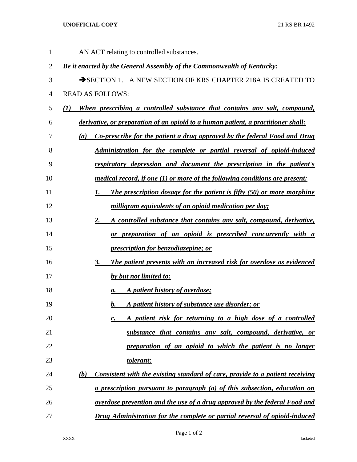## **UNOFFICIAL COPY** 21 RS BR 1492

| 1              | AN ACT relating to controlled substances.                                                      |
|----------------|------------------------------------------------------------------------------------------------|
| $\overline{2}$ | Be it enacted by the General Assembly of the Commonwealth of Kentucky:                         |
| 3              | SECTION 1. A NEW SECTION OF KRS CHAPTER 218A IS CREATED TO                                     |
| $\overline{4}$ | <b>READ AS FOLLOWS:</b>                                                                        |
| 5              | When prescribing a controlled substance that contains any salt, compound,<br>$\bf(1)$          |
| 6              | derivative, or preparation of an opioid to a human patient, a practitioner shall:              |
| 7              | Co-prescribe for the patient a drug approved by the federal Food and Drug<br>$\left( a\right)$ |
| 8              | <b>Administration for the complete or partial reversal of opioid-induced</b>                   |
| 9              | <u>respiratory depression and document the prescription in the patient's</u>                   |
| 10             | medical record, if one (1) or more of the following conditions are present:                    |
| 11             | The prescription dosage for the patient is fifty (50) or more morphine<br>1.                   |
| 12             | milligram equivalents of an opioid medication per day;                                         |
| 13             | A controlled substance that contains any salt, compound, derivative,<br>2.                     |
| 14             | or preparation of an opioid is prescribed concurrently with a                                  |
| 15             | <i><u><b>prescription for benzodiazepine; or</b></u></i>                                       |
| 16             | The patient presents with an increased risk for overdose as evidenced<br>3.                    |
| 17             | by but not limited to:                                                                         |
| 18             | A patient history of overdose;<br>a.                                                           |
| 19             | A patient history of substance use disorder; or<br>b.                                          |
| 20             | A patient risk for returning to a high dose of a controlled<br>$\boldsymbol{c}$ .              |
| 21             | substance that contains any salt, compound, derivative, or                                     |
| 22             | preparation of an opioid to which the patient is no longer                                     |
| 23             | <u>tolerant;</u>                                                                               |
| 24             | (b)<br>Consistent with the existing standard of care, provide to a patient receiving           |
| 25             | <u>a prescription pursuant to paragraph (a) of this subsection, education on</u>               |
| 26             | <u>overdose prevention and the use of a drug approved by the federal Food and</u>              |
| 27             | Drug Administration for the complete or partial reversal of opioid-induced                     |